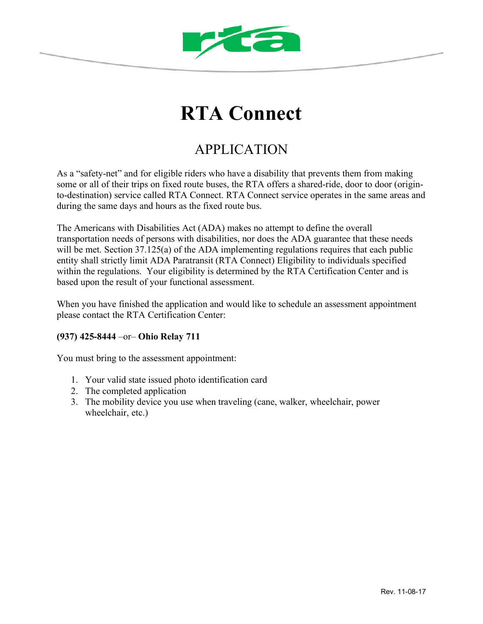

## **RTA Connect**

## APPLICATION

As a "safety-net" and for eligible riders who have a disability that prevents them from making some or all of their trips on fixed route buses, the RTA offers a shared-ride, door to door (originto-destination) service called RTA Connect. RTA Connect service operates in the same areas and during the same days and hours as the fixed route bus.

The Americans with Disabilities Act (ADA) makes no attempt to define the overall transportation needs of persons with disabilities, nor does the ADA guarantee that these needs will be met. Section 37.125(a) of the ADA implementing regulations requires that each public entity shall strictly limit ADA Paratransit (RTA Connect) Eligibility to individuals specified within the regulations. Your eligibility is determined by the RTA Certification Center and is based upon the result of your functional assessment.

When you have finished the application and would like to schedule an assessment appointment please contact the RTA Certification Center:

## **(937) 425-8444** –or– **Ohio Relay 711**

You must bring to the assessment appointment:

- 1. Your valid state issued photo identification card
- 2. The completed application
- 3. The mobility device you use when traveling (cane, walker, wheelchair, power wheelchair, etc.)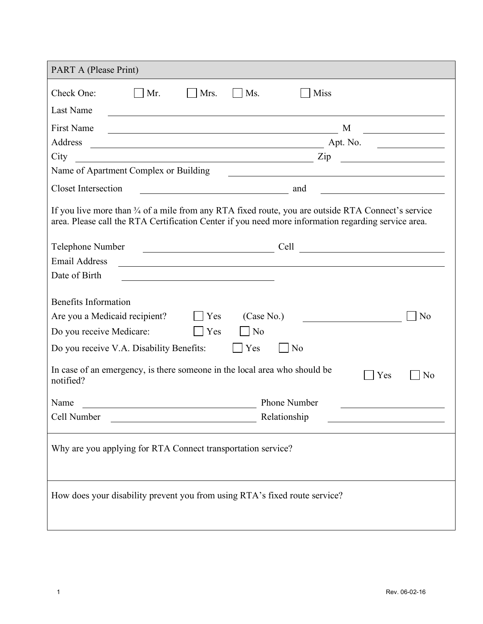| PART A (Please Print)                                                                                                                                                                                                                                                                                                                                                                                                        |  |  |  |  |
|------------------------------------------------------------------------------------------------------------------------------------------------------------------------------------------------------------------------------------------------------------------------------------------------------------------------------------------------------------------------------------------------------------------------------|--|--|--|--|
| Check One:<br>Mrs.<br>$\vert$ Ms.<br><b>Miss</b><br>$\vert$ Mr.                                                                                                                                                                                                                                                                                                                                                              |  |  |  |  |
| Last Name                                                                                                                                                                                                                                                                                                                                                                                                                    |  |  |  |  |
| <b>First Name</b><br>M<br><u> 1989 - Johann Barn, mars eta bainar eta bainar eta baina eta baina eta baina eta baina eta baina eta baina e</u>                                                                                                                                                                                                                                                                               |  |  |  |  |
| Address                                                                                                                                                                                                                                                                                                                                                                                                                      |  |  |  |  |
| $\frac{1}{\sqrt{1-\frac{1}{2}}\sqrt{1-\frac{1}{2}}\sqrt{1-\frac{1}{2}}\sqrt{1-\frac{1}{2}}\sqrt{1-\frac{1}{2}}\sqrt{1-\frac{1}{2}}\sqrt{1-\frac{1}{2}}\sqrt{1-\frac{1}{2}}\sqrt{1-\frac{1}{2}}\sqrt{1-\frac{1}{2}}\sqrt{1-\frac{1}{2}}\sqrt{1-\frac{1}{2}}\sqrt{1-\frac{1}{2}}\sqrt{1-\frac{1}{2}}\sqrt{1-\frac{1}{2}}\sqrt{1-\frac{1}{2}}\sqrt{1-\frac{1}{2}}\sqrt{1-\frac{1}{2}}\sqrt{1-\frac{1}{2}}\sqrt{1-\frac$<br>City |  |  |  |  |
| Name of Apartment Complex or Building<br><u> 1989 - Andrea Barbara, poeta esperanto-poeta esperanto-poeta esperanto-poeta esperanto-poeta esperanto-poeta</u>                                                                                                                                                                                                                                                                |  |  |  |  |
| <b>Closet Intersection</b><br><b>and</b> and <b>a</b> and <b>a</b> and <b>a</b> and <b>a</b> and <b>a</b> and <b>a</b> and <b>a</b>                                                                                                                                                                                                                                                                                          |  |  |  |  |
| If you live more than 3/4 of a mile from any RTA fixed route, you are outside RTA Connect's service<br>area. Please call the RTA Certification Center if you need more information regarding service area.                                                                                                                                                                                                                   |  |  |  |  |
| Telephone Number<br>Cell                                                                                                                                                                                                                                                                                                                                                                                                     |  |  |  |  |
| <b>Email Address</b><br><u> 1989 - Johann Stoff, amerikansk politiker (d. 1989)</u>                                                                                                                                                                                                                                                                                                                                          |  |  |  |  |
| Date of Birth                                                                                                                                                                                                                                                                                                                                                                                                                |  |  |  |  |
| Benefits Information<br>Are you a Medicaid recipient?<br>$  \nvert$ Yes<br>(Case No.)<br>N <sub>o</sub><br>Do you receive Medicare:<br>Yes<br>$\overline{N_0}$<br>Yes<br>Do you receive V.A. Disability Benefits:<br> No                                                                                                                                                                                                     |  |  |  |  |
| In case of an emergency, is there someone in the local area who should be<br>Yes<br>N <sub>0</sub><br>notified?                                                                                                                                                                                                                                                                                                              |  |  |  |  |
| <b>Phone Number</b><br>Name<br><u> 1990 - Johann Barbara, martin eta politikar</u>                                                                                                                                                                                                                                                                                                                                           |  |  |  |  |
| Cell Number<br>Relationship                                                                                                                                                                                                                                                                                                                                                                                                  |  |  |  |  |
| Why are you applying for RTA Connect transportation service?                                                                                                                                                                                                                                                                                                                                                                 |  |  |  |  |
| How does your disability prevent you from using RTA's fixed route service?                                                                                                                                                                                                                                                                                                                                                   |  |  |  |  |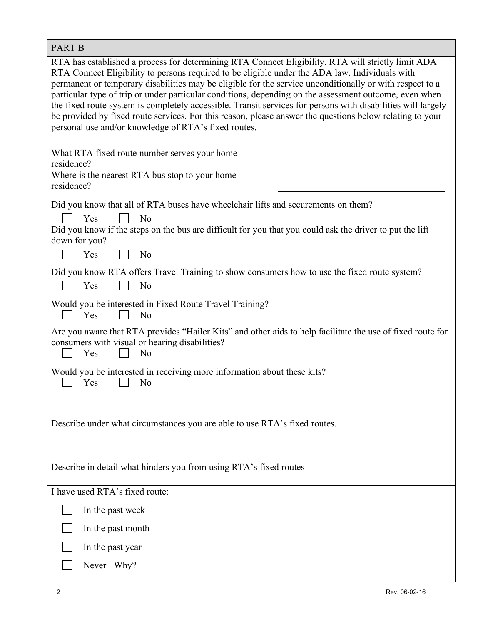| <b>PART B</b>                                                                                                                                                                                                                                                                                                                                                                                                                                                                                                                                                                                                                                                                                                  |  |  |  |  |
|----------------------------------------------------------------------------------------------------------------------------------------------------------------------------------------------------------------------------------------------------------------------------------------------------------------------------------------------------------------------------------------------------------------------------------------------------------------------------------------------------------------------------------------------------------------------------------------------------------------------------------------------------------------------------------------------------------------|--|--|--|--|
| RTA has established a process for determining RTA Connect Eligibility. RTA will strictly limit ADA<br>RTA Connect Eligibility to persons required to be eligible under the ADA law. Individuals with<br>permanent or temporary disabilities may be eligible for the service unconditionally or with respect to a<br>particular type of trip or under particular conditions, depending on the assessment outcome, even when<br>the fixed route system is completely accessible. Transit services for persons with disabilities will largely<br>be provided by fixed route services. For this reason, please answer the questions below relating to your<br>personal use and/or knowledge of RTA's fixed routes. |  |  |  |  |
| What RTA fixed route number serves your home<br>residence?<br>Where is the nearest RTA bus stop to your home<br>residence?                                                                                                                                                                                                                                                                                                                                                                                                                                                                                                                                                                                     |  |  |  |  |
| Did you know that all of RTA buses have wheelchair lifts and securements on them?<br>Yes<br>N <sub>0</sub><br>Did you know if the steps on the bus are difficult for you that you could ask the driver to put the lift                                                                                                                                                                                                                                                                                                                                                                                                                                                                                         |  |  |  |  |
| down for you?<br>Yes<br>N <sub>o</sub>                                                                                                                                                                                                                                                                                                                                                                                                                                                                                                                                                                                                                                                                         |  |  |  |  |
| Did you know RTA offers Travel Training to show consumers how to use the fixed route system?<br>Yes<br>N <sub>o</sub>                                                                                                                                                                                                                                                                                                                                                                                                                                                                                                                                                                                          |  |  |  |  |
| Would you be interested in Fixed Route Travel Training?<br>N <sub>o</sub><br>Yes                                                                                                                                                                                                                                                                                                                                                                                                                                                                                                                                                                                                                               |  |  |  |  |
| Are you aware that RTA provides "Hailer Kits" and other aids to help facilitate the use of fixed route for<br>consumers with visual or hearing disabilities?<br>N <sub>o</sub><br>Yes                                                                                                                                                                                                                                                                                                                                                                                                                                                                                                                          |  |  |  |  |
| Would you be interested in receiving more information about these kits?<br>Yes<br>No                                                                                                                                                                                                                                                                                                                                                                                                                                                                                                                                                                                                                           |  |  |  |  |
| Describe under what circumstances you are able to use RTA's fixed routes.                                                                                                                                                                                                                                                                                                                                                                                                                                                                                                                                                                                                                                      |  |  |  |  |
| Describe in detail what hinders you from using RTA's fixed routes                                                                                                                                                                                                                                                                                                                                                                                                                                                                                                                                                                                                                                              |  |  |  |  |
| I have used RTA's fixed route:                                                                                                                                                                                                                                                                                                                                                                                                                                                                                                                                                                                                                                                                                 |  |  |  |  |
| In the past week                                                                                                                                                                                                                                                                                                                                                                                                                                                                                                                                                                                                                                                                                               |  |  |  |  |
| In the past month                                                                                                                                                                                                                                                                                                                                                                                                                                                                                                                                                                                                                                                                                              |  |  |  |  |
| In the past year                                                                                                                                                                                                                                                                                                                                                                                                                                                                                                                                                                                                                                                                                               |  |  |  |  |
| Never Why?                                                                                                                                                                                                                                                                                                                                                                                                                                                                                                                                                                                                                                                                                                     |  |  |  |  |

I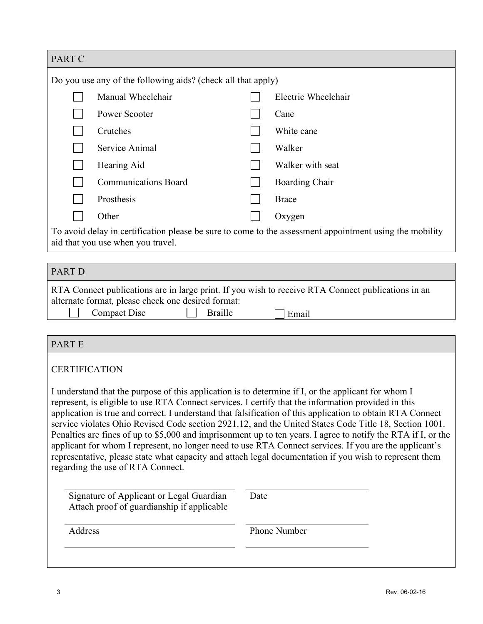| PART C                                                                                                                                                                                                            |      |                       |  |  |
|-------------------------------------------------------------------------------------------------------------------------------------------------------------------------------------------------------------------|------|-----------------------|--|--|
| Do you use any of the following aids? (check all that apply)                                                                                                                                                      |      |                       |  |  |
| Manual Wheelchair                                                                                                                                                                                                 |      | Electric Wheelchair   |  |  |
| Power Scooter                                                                                                                                                                                                     |      | Cane                  |  |  |
| Crutches                                                                                                                                                                                                          |      | White cane            |  |  |
| Service Animal                                                                                                                                                                                                    |      | Walker                |  |  |
| Hearing Aid                                                                                                                                                                                                       |      | Walker with seat      |  |  |
| <b>Communications Board</b>                                                                                                                                                                                       |      | <b>Boarding Chair</b> |  |  |
| Prosthesis                                                                                                                                                                                                        |      | <b>Brace</b>          |  |  |
| Other                                                                                                                                                                                                             |      | Oxygen                |  |  |
| To avoid delay in certification please be sure to come to the assessment appointment using the mobility                                                                                                           |      |                       |  |  |
| aid that you use when you travel.                                                                                                                                                                                 |      |                       |  |  |
| <b>PART D</b>                                                                                                                                                                                                     |      |                       |  |  |
| RTA Connect publications are in large print. If you wish to receive RTA Connect publications in an                                                                                                                |      |                       |  |  |
| alternate format, please check one desired format:                                                                                                                                                                |      |                       |  |  |
| <b>Compact Disc</b><br><b>Braille</b>                                                                                                                                                                             |      | Email                 |  |  |
|                                                                                                                                                                                                                   |      |                       |  |  |
| <b>PARTE</b>                                                                                                                                                                                                      |      |                       |  |  |
| <b>CERTIFICATION</b>                                                                                                                                                                                              |      |                       |  |  |
|                                                                                                                                                                                                                   |      |                       |  |  |
| I understand that the purpose of this application is to determine if I, or the applicant for whom I<br>represent, is eligible to use RTA Connect services. I certify that the information provided in this        |      |                       |  |  |
| application is true and correct. I understand that falsification of this application to obtain RTA Connect                                                                                                        |      |                       |  |  |
| service violates Ohio Revised Code section 2921.12, and the United States Code Title 18, Section 1001.                                                                                                            |      |                       |  |  |
| Penalties are fines of up to \$5,000 and imprisonment up to ten years. I agree to notify the RTA if I, or the                                                                                                     |      |                       |  |  |
| applicant for whom I represent, no longer need to use RTA Connect services. If you are the applicant's<br>representative, please state what capacity and attach legal documentation if you wish to represent them |      |                       |  |  |
| regarding the use of RTA Connect.                                                                                                                                                                                 |      |                       |  |  |
|                                                                                                                                                                                                                   |      |                       |  |  |
| Signature of Applicant or Legal Guardian<br>Attach proof of guardianship if applicable                                                                                                                            | Date |                       |  |  |
|                                                                                                                                                                                                                   |      |                       |  |  |
| Address                                                                                                                                                                                                           |      | Phone Number          |  |  |
|                                                                                                                                                                                                                   |      |                       |  |  |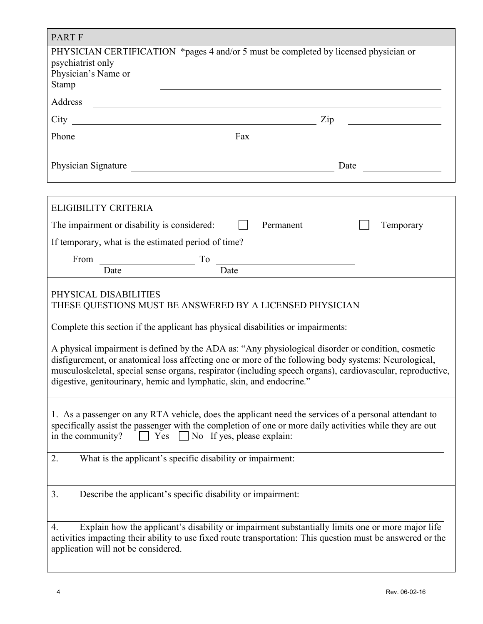| <b>PART F</b>                                                                                                                                                                                                                                                                                                                                                                                    |  |  |  |  |  |
|--------------------------------------------------------------------------------------------------------------------------------------------------------------------------------------------------------------------------------------------------------------------------------------------------------------------------------------------------------------------------------------------------|--|--|--|--|--|
| PHYSICIAN CERTIFICATION *pages 4 and/or 5 must be completed by licensed physician or<br>psychiatrist only<br>Physician's Name or<br>Stamp                                                                                                                                                                                                                                                        |  |  |  |  |  |
| Address<br><u> 1980 - Johann Barn, mars ann an t-Amhain Aonaich an t-Aonaich an t-Aonaich ann an t-Aonaich ann an t-Aonaich</u>                                                                                                                                                                                                                                                                  |  |  |  |  |  |
| Zip<br><u> 1989 - Andrea State Barbara, amerikan per</u>                                                                                                                                                                                                                                                                                                                                         |  |  |  |  |  |
| Phone<br>$\frac{1}{2}$ Fax $\frac{1}{2}$ Fax $\frac{1}{2}$ Fax $\frac{1}{2}$ Fax $\frac{1}{2}$ Fax $\frac{1}{2}$ Fax $\frac{1}{2}$ Fax $\frac{1}{2}$ Fax $\frac{1}{2}$ Fax $\frac{1}{2}$ Fax $\frac{1}{2}$ Fax $\frac{1}{2}$ Fax $\frac{1}{2}$ Fax $\frac{1}{2}$ Fax $\frac{1}{2}$ Fax $\frac{1}{2}$ F                                                                                           |  |  |  |  |  |
|                                                                                                                                                                                                                                                                                                                                                                                                  |  |  |  |  |  |
| <b>ELIGIBILITY CRITERIA</b>                                                                                                                                                                                                                                                                                                                                                                      |  |  |  |  |  |
| Permanent<br>The impairment or disability is considered:<br>$\Box$<br>Temporary                                                                                                                                                                                                                                                                                                                  |  |  |  |  |  |
| If temporary, what is the estimated period of time?                                                                                                                                                                                                                                                                                                                                              |  |  |  |  |  |
| From<br>To<br><u> 1989 - Johann Barbara, martin a</u><br><u> 1989 - Johann Barbara, martin amerikan basar dan basa dan basa dan basa dalam basa dalam basa dalam basa dala</u><br>Date<br>Date                                                                                                                                                                                                   |  |  |  |  |  |
| PHYSICAL DISABILITIES<br>THESE QUESTIONS MUST BE ANSWERED BY A LICENSED PHYSICIAN                                                                                                                                                                                                                                                                                                                |  |  |  |  |  |
| Complete this section if the applicant has physical disabilities or impairments:                                                                                                                                                                                                                                                                                                                 |  |  |  |  |  |
| A physical impairment is defined by the ADA as: "Any physiological disorder or condition, cosmetic<br>disfigurement, or anatomical loss affecting one or more of the following body systems: Neurological,<br>musculoskeletal, special sense organs, respirator (including speech organs), cardiovascular, reproductive,<br>digestive, genitourinary, hemic and lymphatic, skin, and endocrine." |  |  |  |  |  |
| 1. As a passenger on any RTA vehicle, does the applicant need the services of a personal attendant to<br>specifically assist the passenger with the completion of one or more daily activities while they are out<br>$\Box$ No If yes, please explain:<br>Yes<br>in the community?                                                                                                               |  |  |  |  |  |
| What is the applicant's specific disability or impairment:<br>2.                                                                                                                                                                                                                                                                                                                                 |  |  |  |  |  |
| 3.<br>Describe the applicant's specific disability or impairment:                                                                                                                                                                                                                                                                                                                                |  |  |  |  |  |
| Explain how the applicant's disability or impairment substantially limits one or more major life<br>4.<br>activities impacting their ability to use fixed route transportation: This question must be answered or the<br>application will not be considered.                                                                                                                                     |  |  |  |  |  |